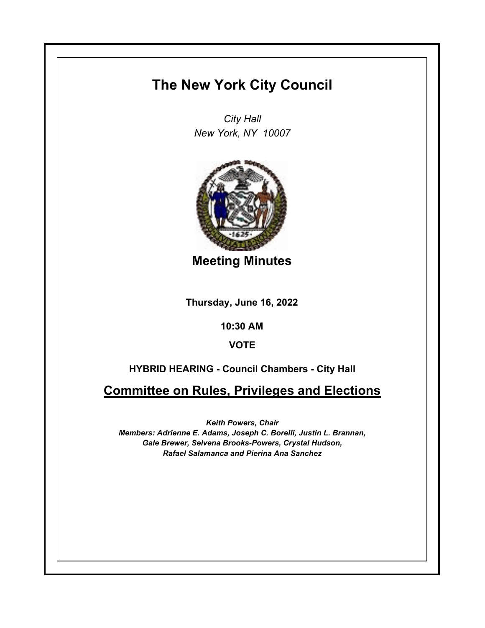## **The New York City Council**

*City Hall New York, NY 10007*



**Meeting Minutes**

**Thursday, June 16, 2022**

**10:30 AM**

**VOTE**

**HYBRID HEARING - Council Chambers - City Hall**

**Committee on Rules, Privileges and Elections**

*Keith Powers, Chair Members: Adrienne E. Adams, Joseph C. Borelli, Justin L. Brannan, Gale Brewer, Selvena Brooks-Powers, Crystal Hudson, Rafael Salamanca and Pierina Ana Sanchez*